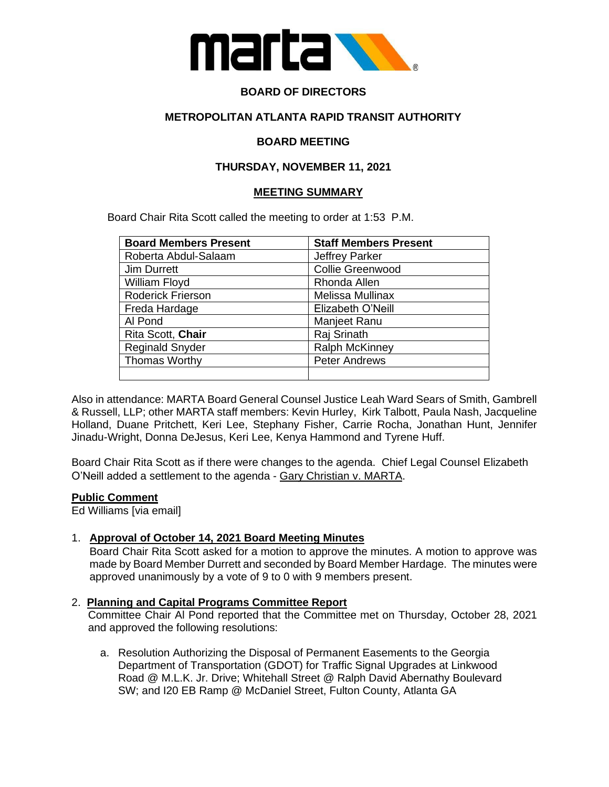

# **BOARD OF DIRECTORS**

# **METROPOLITAN ATLANTA RAPID TRANSIT AUTHORITY**

# **BOARD MEETING**

# **THURSDAY, NOVEMBER 11, 2021**

#### **MEETING SUMMARY**

Board Chair Rita Scott called the meeting to order at 1:53 P.M.

| <b>Board Members Present</b> | <b>Staff Members Present</b> |
|------------------------------|------------------------------|
| Roberta Abdul-Salaam         | <b>Jeffrey Parker</b>        |
| Jim Durrett                  | Collie Greenwood             |
| William Floyd                | Rhonda Allen                 |
| Roderick Frierson            | Melissa Mullinax             |
| Freda Hardage                | Elizabeth O'Neill            |
| Al Pond                      | Manjeet Ranu                 |
| Rita Scott, Chair            | Raj Srinath                  |
| <b>Reginald Snyder</b>       | <b>Ralph McKinney</b>        |
| Thomas Worthy                | <b>Peter Andrews</b>         |
|                              |                              |

Also in attendance: MARTA Board General Counsel Justice Leah Ward Sears of Smith, Gambrell & Russell, LLP; other MARTA staff members: Kevin Hurley, Kirk Talbott, Paula Nash, Jacqueline Holland, Duane Pritchett, Keri Lee, Stephany Fisher, Carrie Rocha, Jonathan Hunt, Jennifer Jinadu-Wright, Donna DeJesus, Keri Lee, Kenya Hammond and Tyrene Huff.

Board Chair Rita Scott as if there were changes to the agenda. Chief Legal Counsel Elizabeth O'Neill added a settlement to the agenda - Gary Christian v. MARTA.

#### **Public Comment**

Ed Williams [via email]

# 1. **Approval of October 14, 2021 Board Meeting Minutes**

Board Chair Rita Scott asked for a motion to approve the minutes. A motion to approve was made by Board Member Durrett and seconded by Board Member Hardage. The minutes were approved unanimously by a vote of 9 to 0 with 9 members present.

#### 2. **Planning and Capital Programs Committee Report**

Committee Chair Al Pond reported that the Committee met on Thursday, October 28, 2021 and approved the following resolutions:

a. Resolution Authorizing the Disposal of Permanent Easements to the Georgia Department of Transportation (GDOT) for Traffic Signal Upgrades at Linkwood Road @ M.L.K. Jr. Drive; Whitehall Street @ Ralph David Abernathy Boulevard SW; and I20 EB Ramp @ McDaniel Street, Fulton County, Atlanta GA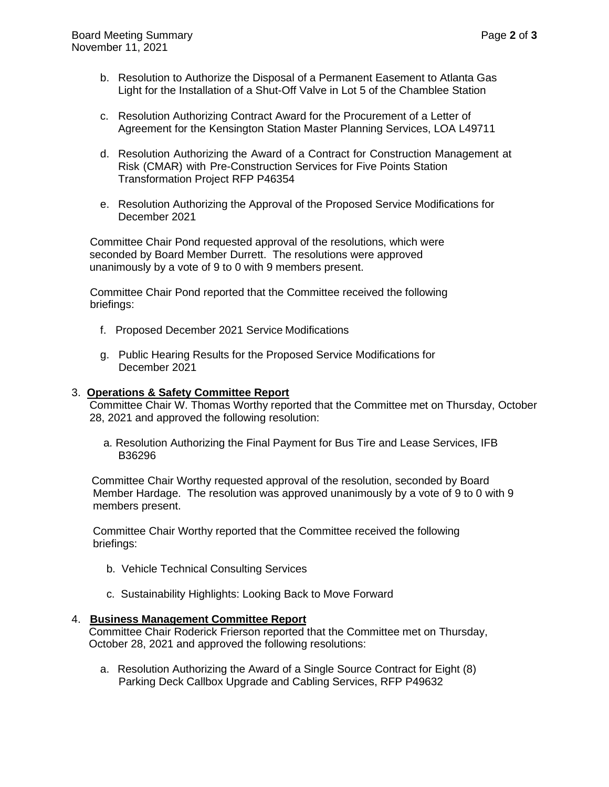- b. Resolution to Authorize the Disposal of a Permanent Easement to Atlanta Gas Light for the Installation of a Shut-Off Valve in Lot 5 of the Chamblee Station
- c. Resolution Authorizing Contract Award for the Procurement of a Letter of Agreement for the Kensington Station Master Planning Services, LOA L49711
- d. Resolution Authorizing the Award of a Contract for Construction Management at Risk (CMAR) with Pre-Construction Services for Five Points Station Transformation Project RFP P46354
- e. Resolution Authorizing the Approval of the Proposed Service Modifications for December 2021

 Committee Chair Pond requested approval of the resolutions, which were seconded by Board Member Durrett. The resolutions were approved unanimously by a vote of 9 to 0 with 9 members present.

 Committee Chair Pond reported that the Committee received the following briefings:

- f. Proposed December 2021 Service Modifications
- g. Public Hearing Results for the Proposed Service Modifications for December 2021

#### 3. **Operations & Safety Committee Report**

Committee Chair W. Thomas Worthy reported that the Committee met on Thursday, October 28, 2021 and approved the following resolution:

 a. Resolution Authorizing the Final Payment for Bus Tire and Lease Services, IFB B36296

 Committee Chair Worthy requested approval of the resolution, seconded by Board Member Hardage. The resolution was approved unanimously by a vote of 9 to 0 with 9 members present.

 Committee Chair Worthy reported that the Committee received the following briefings:

- b. Vehicle Technical Consulting Services
- c. Sustainability Highlights: Looking Back to Move Forward

#### 4. **Business Management Committee Report**

Committee Chair Roderick Frierson reported that the Committee met on Thursday, October 28, 2021 and approved the following resolutions:

a. Resolution Authorizing the Award of a Single Source Contract for Eight (8) Parking Deck Callbox Upgrade and Cabling Services, RFP P49632